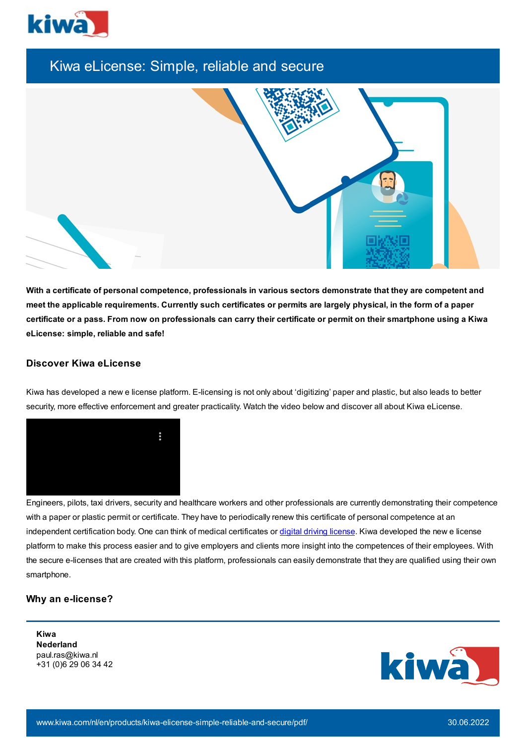

# Kiwa eLicense: Simple, reliable and secure



With a certificate of personal competence, professionals in various sectors demonstrate that they are competent and meet the applicable requirements. Currently such certificates or permits are largely physical, in the form of a paper certificate or a pass. From now on professionals can carry their certificate or permit on their smartphone using a Kiwa **eLicense: simple, reliable and safe!**

## **Discover Kiwa eLicense**

Kiwa has developed a new e license platform. E-licensing is not only about 'digitizing' paper and plastic, but also leads to better security, more effective enforcement and greater practicality. Watch the video below and discover all about Kiwa eLicense.



Engineers, pilots, taxi drivers, security and healthcare workers and other professionals are currently demonstrating their competence with a paper or plastic permit or certificate. They have to periodically renew this certificate of personal competence at an independent certification body. One can think of medical certificates or digital driving [license.](https://www.kiwa.com/nl/en/products/kiwa-elicense-simple-reliable-and-secure/digital-license-by-kiwa-simple-reliable-and-secure/) Kiwa developed the new e license platform to make this process easier and to give employers and clients more insight into the competences of their employees. With the secure e-licenses that are created with this platform, professionals can easily demonstrate that they are qualified using their own smartphone.

## **Why an e-license?**

**Kiwa Nederland** paul.ras@kiwa.nl +31 (0)6 29 06 34 42

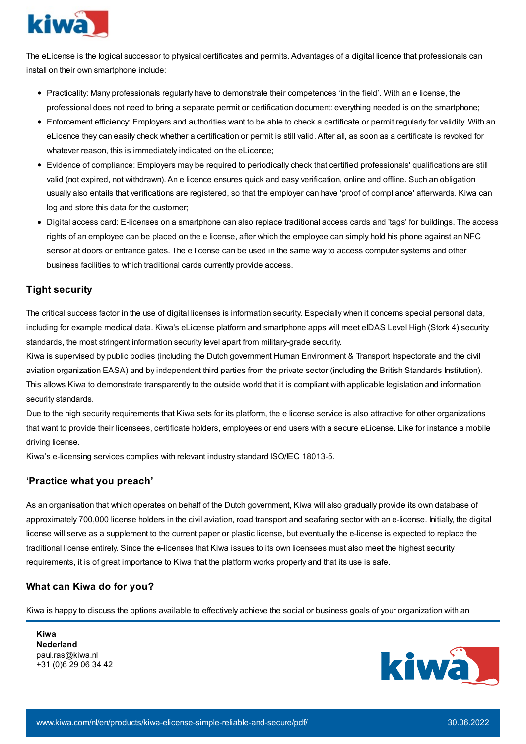

The eLicense is the logical successor to physical certificates and permits. Advantages of a digital licence that professionals can install on their own smartphone include:

- Practicality: Many professionals regularly have to demonstrate their competences 'in the field'. With an e license, the professional does not need to bring a separate permit or certification document: everything needed is on the smartphone;
- Enforcement efficiency: Employers and authorities want to be able to check a certificate or permit regularly for validity. With an eLicence they can easily check whether a certification or permit is still valid. After all, as soon as a certificate is revoked for whatever reason, this is immediately indicated on the eLicence;
- Evidence of compliance: Employers may be required to periodically check that certified professionals' qualifications are still valid (not expired, not withdrawn). An e licence ensures quick and easy verification, online and offline. Such an obligation usually also entails that verifications are registered, so that the employer can have 'proof of compliance' afterwards. Kiwa can log and store this data for the customer;
- Digital access card: E-licenses on a smartphone can also replace traditional access cards and 'tags' for buildings. The access rights of an employee can be placed on the e license, after which the employee can simply hold his phone against an NFC sensor at doors or entrance gates. The e license can be used in the same way to access computer systems and other business facilities to which traditional cards currently provide access.

## **Tight security**

The critical success factor in the use of digital licenses is information security. Especially when it concerns special personal data, including for example medical data. Kiwa's eLicense platform and smartphone apps will meet eIDAS Level High (Stork 4) security standards, the most stringent information security level apart from military-grade security.

Kiwa is supervised by public bodies (including the Dutch government Human Environment & Transport Inspectorate and the civil aviation organization EASA) and by independent third parties from the private sector (including the British Standards Institution). This allows Kiwa to demonstrate transparently to the outside world that it is compliant with applicable legislation and information security standards.

Due to the high security requirements that Kiwa sets for its platform, the e license service is also attractive for other organizations that want to provide their licensees, certificate holders, employees or end users with a secure eLicense. Like for instance a mobile driving license.

Kiwa's e-licensing services complies with relevant industry standard ISO/IEC 18013-5.

## **'Practice what you preach'**

As an organisation that which operates on behalf of the Dutch government, Kiwa will also gradually provide its own database of approximately 700,000 license holders in the civil aviation, road transport and seafaring sector with an e-license. Initially, the digital license will serve as a supplement to the current paper or plastic license, but eventually the e-license is expected to replace the traditional license entirely. Since the e-licenses that Kiwa issues to its own licensees must also meet the highest security requirements, it is of great importance to Kiwa that the platform works properly and that its use is safe.

## **What can Kiwa do for you?**

Kiwa is happy to discuss the options available to effectively achieve the social or business goals of your organization with an

**Kiwa Nederland** paul.ras@kiwa.nl +31 (0)6 29 06 34 42